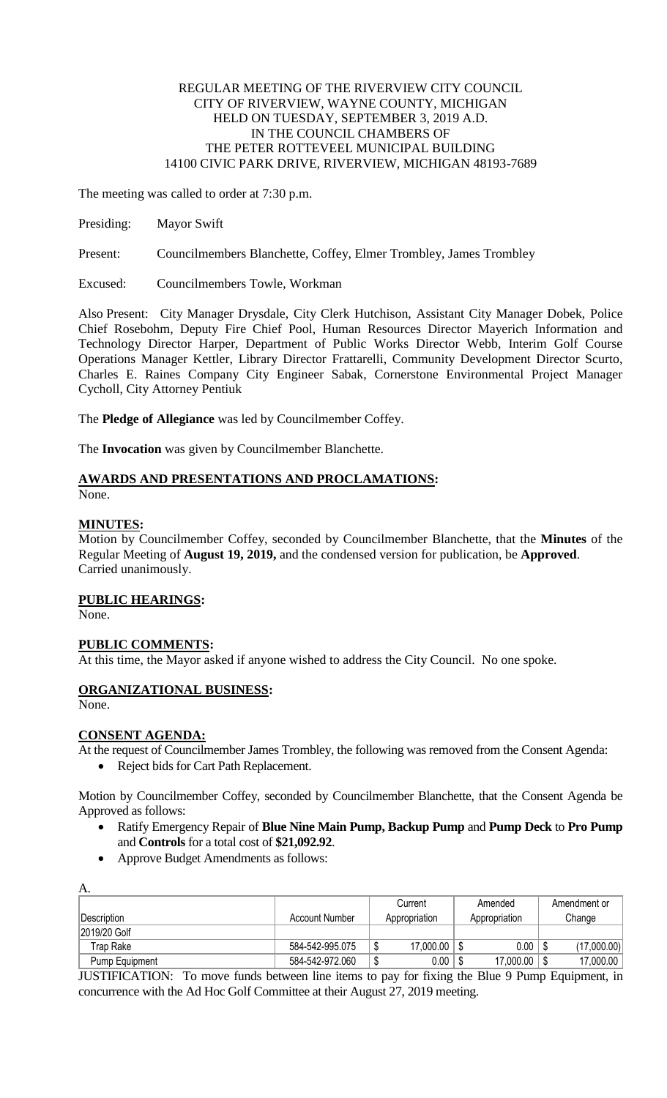## REGULAR MEETING OF THE RIVERVIEW CITY COUNCIL CITY OF RIVERVIEW, WAYNE COUNTY, MICHIGAN HELD ON TUESDAY, SEPTEMBER 3, 2019 A.D. IN THE COUNCIL CHAMBERS OF THE PETER ROTTEVEEL MUNICIPAL BUILDING 14100 CIVIC PARK DRIVE, RIVERVIEW, MICHIGAN 48193-7689

The meeting was called to order at 7:30 p.m.

Presiding: Mayor Swift

Present: Councilmembers Blanchette, Coffey, Elmer Trombley, James Trombley

Excused: Councilmembers Towle, Workman

Also Present: City Manager Drysdale, City Clerk Hutchison, Assistant City Manager Dobek, Police Chief Rosebohm, Deputy Fire Chief Pool, Human Resources Director Mayerich Information and Technology Director Harper, Department of Public Works Director Webb, Interim Golf Course Operations Manager Kettler, Library Director Frattarelli, Community Development Director Scurto, Charles E. Raines Company City Engineer Sabak, Cornerstone Environmental Project Manager Cycholl, City Attorney Pentiuk

The **Pledge of Allegiance** was led by Councilmember Coffey.

The **Invocation** was given by Councilmember Blanchette.

# **AWARDS AND PRESENTATIONS AND PROCLAMATIONS:**

None.

## **MINUTES:**

Motion by Councilmember Coffey, seconded by Councilmember Blanchette, that the **Minutes** of the Regular Meeting of **August 19, 2019,** and the condensed version for publication, be **Approved**. Carried unanimously.

## **PUBLIC HEARINGS:**

None.

## **PUBLIC COMMENTS:**

At this time, the Mayor asked if anyone wished to address the City Council. No one spoke.

## **ORGANIZATIONAL BUSINESS:**

None.

### **CONSENT AGENDA:**

At the request of Councilmember James Trombley, the following was removed from the Consent Agenda:

Reject bids for Cart Path Replacement.

Motion by Councilmember Coffey, seconded by Councilmember Blanchette, that the Consent Agenda be Approved as follows:

- Ratify Emergency Repair of **Blue Nine Main Pump, Backup Pump** and **Pump Deck** to **Pro Pump**  and **Controls** for a total cost of **\$21,092.92**.
- Approve Budget Amendments as follows:

| А.             |                       |               |         |               |              |             |
|----------------|-----------------------|---------------|---------|---------------|--------------|-------------|
|                |                       | Current       | Amended |               | Amendment or |             |
| Description    | <b>Account Number</b> | Appropriation |         | Appropriation |              | Change      |
| 2019/20 Golf   |                       |               |         |               |              |             |
| Trap Rake      | 584-542-995.075       | 17,000.00     |         | 0.00          |              | (17,000.00) |
| Pump Equipment | 584-542-972.060       | 0.00          |         | 17,000.00     |              | 17,000.00   |

JUSTIFICATION: To move funds between line items to pay for fixing the Blue 9 Pump Equipment, in concurrence with the Ad Hoc Golf Committee at their August 27, 2019 meeting.